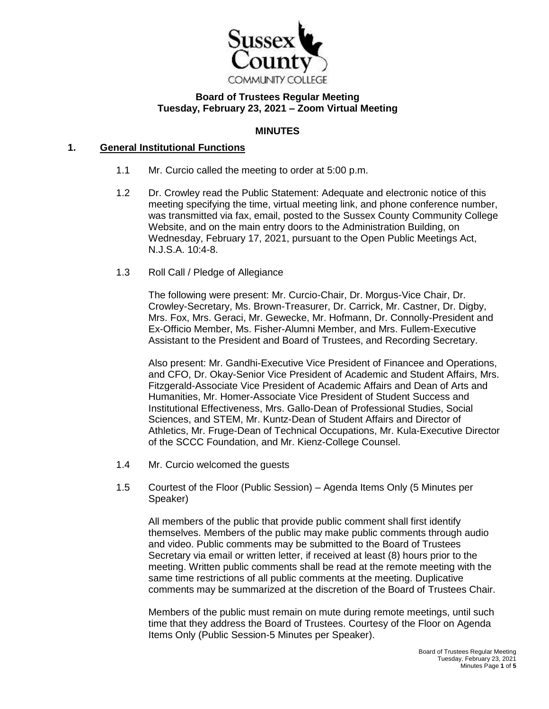

## **Board of Trustees Regular Meeting Tuesday, February 23, 2021 – Zoom Virtual Meeting**

### **MINUTES**

# **1. General Institutional Functions**

- 1.1 Mr. Curcio called the meeting to order at 5:00 p.m.
- 1.2 Dr. Crowley read the Public Statement: Adequate and electronic notice of this meeting specifying the time, virtual meeting link, and phone conference number, was transmitted via fax, email, posted to the Sussex County Community College Website, and on the main entry doors to the Administration Building, on Wednesday, February 17, 2021, pursuant to the Open Public Meetings Act, N.J.S.A. 10:4-8.
- 1.3 Roll Call / Pledge of Allegiance

The following were present: Mr. Curcio-Chair, Dr. Morgus-Vice Chair, Dr. Crowley-Secretary, Ms. Brown-Treasurer, Dr. Carrick, Mr. Castner, Dr. Digby, Mrs. Fox, Mrs. Geraci, Mr. Gewecke, Mr. Hofmann, Dr. Connolly-President and Ex-Officio Member, Ms. Fisher-Alumni Member, and Mrs. Fullem-Executive Assistant to the President and Board of Trustees, and Recording Secretary.

Also present: Mr. Gandhi-Executive Vice President of Financee and Operations, and CFO, Dr. Okay-Senior Vice President of Academic and Student Affairs, Mrs. Fitzgerald-Associate Vice President of Academic Affairs and Dean of Arts and Humanities, Mr. Homer-Associate Vice President of Student Success and Institutional Effectiveness, Mrs. Gallo-Dean of Professional Studies, Social Sciences, and STEM, Mr. Kuntz-Dean of Student Affairs and Director of Athletics, Mr. Fruge-Dean of Technical Occupations, Mr. Kula-Executive Director of the SCCC Foundation, and Mr. Kienz-College Counsel.

- 1.4 Mr. Curcio welcomed the guests
- 1.5 Courtest of the Floor (Public Session) Agenda Items Only (5 Minutes per Speaker)

All members of the public that provide public comment shall first identify themselves. Members of the public may make public comments through audio and video. Public comments may be submitted to the Board of Trustees Secretary via email or written letter, if received at least (8) hours prior to the meeting. Written public comments shall be read at the remote meeting with the same time restrictions of all public comments at the meeting. Duplicative comments may be summarized at the discretion of the Board of Trustees Chair.

Members of the public must remain on mute during remote meetings, until such time that they address the Board of Trustees. Courtesy of the Floor on Agenda Items Only (Public Session-5 Minutes per Speaker).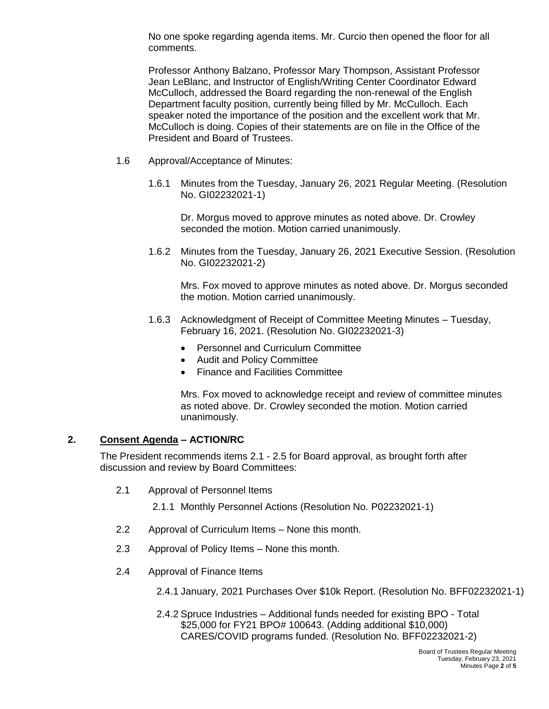No one spoke regarding agenda items. Mr. Curcio then opened the floor for all comments.

Professor Anthony Balzano, Professor Mary Thompson, Assistant Professor Jean LeBlanc, and Instructor of English/Writing Center Coordinator Edward McCulloch, addressed the Board regarding the non-renewal of the English Department faculty position, currently being filled by Mr. McCulloch. Each speaker noted the importance of the position and the excellent work that Mr. McCulloch is doing. Copies of their statements are on file in the Office of the President and Board of Trustees.

- 1.6 Approval/Acceptance of Minutes:
	- 1.6.1 Minutes from the Tuesday, January 26, 2021 Regular Meeting. (Resolution No. GI02232021-1)

Dr. Morgus moved to approve minutes as noted above. Dr. Crowley seconded the motion. Motion carried unanimously.

1.6.2 Minutes from the Tuesday, January 26, 2021 Executive Session. (Resolution No. GI02232021-2)

Mrs. Fox moved to approve minutes as noted above. Dr. Morgus seconded the motion. Motion carried unanimously.

- 1.6.3 Acknowledgment of Receipt of Committee Meeting Minutes Tuesday, February 16, 2021. (Resolution No. GI02232021-3)
	- Personnel and Curriculum Committee
	- Audit and Policy Committee
	- Finance and Facilities Committee

Mrs. Fox moved to acknowledge receipt and review of committee minutes as noted above. Dr. Crowley seconded the motion. Motion carried unanimously.

#### **2. Consent Agenda – ACTION/RC**

The President recommends items 2.1 - 2.5 for Board approval, as brought forth after discussion and review by Board Committees:

2.1 Approval of Personnel Items

2.1.1 Monthly Personnel Actions (Resolution No. P02232021-1)

- 2.2 Approval of Curriculum Items None this month.
- 2.3 Approval of Policy Items None this month.
- 2.4 Approval of Finance Items
	- 2.4.1 January, 2021 Purchases Over \$10k Report. (Resolution No. BFF02232021-1)
	- 2.4.2 Spruce Industries Additional funds needed for existing BPO Total \$25,000 for FY21 BPO# 100643. (Adding additional \$10,000) CARES/COVID programs funded. (Resolution No. BFF02232021-2)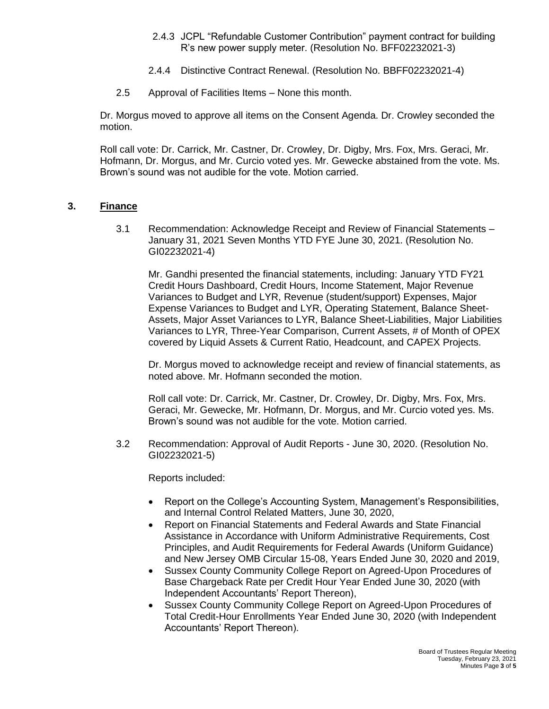- 2.4.3 JCPL "Refundable Customer Contribution" payment contract for building R's new power supply meter. (Resolution No. BFF02232021-3)
- 2.4.4 Distinctive Contract Renewal. (Resolution No. BBFF02232021-4)
- 2.5 Approval of Facilities Items None this month.

Dr. Morgus moved to approve all items on the Consent Agenda. Dr. Crowley seconded the motion.

Roll call vote: Dr. Carrick, Mr. Castner, Dr. Crowley, Dr. Digby, Mrs. Fox, Mrs. Geraci, Mr. Hofmann, Dr. Morgus, and Mr. Curcio voted yes. Mr. Gewecke abstained from the vote. Ms. Brown's sound was not audible for the vote. Motion carried.

# **3. Finance**

3.1 Recommendation: Acknowledge Receipt and Review of Financial Statements – January 31, 2021 Seven Months YTD FYE June 30, 2021. (Resolution No. GI02232021-4)

Mr. Gandhi presented the financial statements, including: January YTD FY21 Credit Hours Dashboard, Credit Hours, Income Statement, Major Revenue Variances to Budget and LYR, Revenue (student/support) Expenses, Major Expense Variances to Budget and LYR, Operating Statement, Balance Sheet-Assets, Major Asset Variances to LYR, Balance Sheet-Liabilities, Major Liabilities Variances to LYR, Three-Year Comparison, Current Assets, # of Month of OPEX covered by Liquid Assets & Current Ratio, Headcount, and CAPEX Projects.

Dr. Morgus moved to acknowledge receipt and review of financial statements, as noted above. Mr. Hofmann seconded the motion.

Roll call vote: Dr. Carrick, Mr. Castner, Dr. Crowley, Dr. Digby, Mrs. Fox, Mrs. Geraci, Mr. Gewecke, Mr. Hofmann, Dr. Morgus, and Mr. Curcio voted yes. Ms. Brown's sound was not audible for the vote. Motion carried.

3.2 Recommendation: Approval of Audit Reports - June 30, 2020. (Resolution No. GI02232021-5)

Reports included:

- Report on the College's Accounting System, Management's Responsibilities, and Internal Control Related Matters, June 30, 2020,
- Report on Financial Statements and Federal Awards and State Financial Assistance in Accordance with Uniform Administrative Requirements, Cost Principles, and Audit Requirements for Federal Awards (Uniform Guidance) and New Jersey OMB Circular 15-08, Years Ended June 30, 2020 and 2019,
- Sussex County Community College Report on Agreed-Upon Procedures of Base Chargeback Rate per Credit Hour Year Ended June 30, 2020 (with Independent Accountants' Report Thereon),
- Sussex County Community College Report on Agreed-Upon Procedures of Total Credit-Hour Enrollments Year Ended June 30, 2020 (with Independent Accountants' Report Thereon).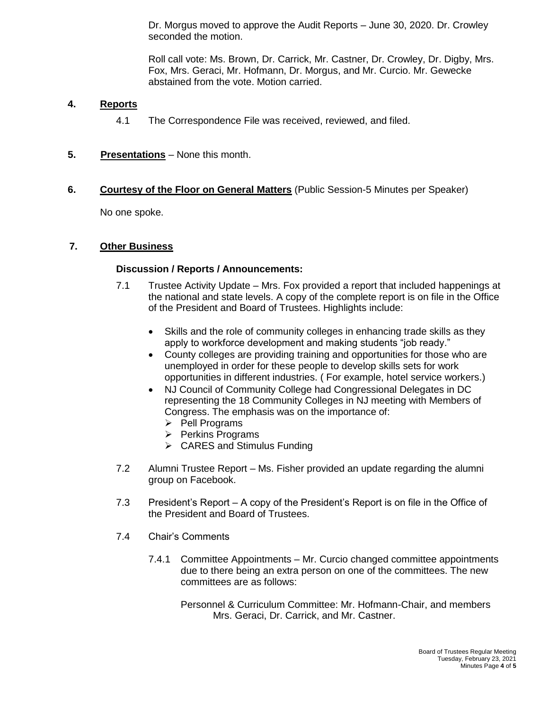Dr. Morgus moved to approve the Audit Reports – June 30, 2020. Dr. Crowley seconded the motion.

Roll call vote: Ms. Brown, Dr. Carrick, Mr. Castner, Dr. Crowley, Dr. Digby, Mrs. Fox, Mrs. Geraci, Mr. Hofmann, Dr. Morgus, and Mr. Curcio. Mr. Gewecke abstained from the vote. Motion carried.

#### **4. Reports**

- 4.1 The Correspondence File was received, reviewed, and filed.
- **5. Presentations** None this month.
- **6. Courtesy of the Floor on General Matters** (Public Session-5 Minutes per Speaker)

No one spoke.

#### **7. Other Business**

#### **Discussion / Reports / Announcements:**

- 7.1 Trustee Activity Update Mrs. Fox provided a report that included happenings at the national and state levels. A copy of the complete report is on file in the Office of the President and Board of Trustees. Highlights include:
	- Skills and the role of community colleges in enhancing trade skills as they apply to workforce development and making students "job ready."
	- County colleges are providing training and opportunities for those who are unemployed in order for these people to develop skills sets for work opportunities in different industries. ( For example, hotel service workers.)
	- NJ Council of Community College had Congressional Delegates in DC representing the 18 Community Colleges in NJ meeting with Members of Congress. The emphasis was on the importance of:
		- $\triangleright$  Pell Programs
		- $\triangleright$  Perkins Programs
		- $\triangleright$  CARES and Stimulus Funding
- 7.2 Alumni Trustee Report Ms. Fisher provided an update regarding the alumni group on Facebook.
- 7.3 President's Report A copy of the President's Report is on file in the Office of the President and Board of Trustees.
- 7.4 Chair's Comments
	- 7.4.1 Committee Appointments Mr. Curcio changed committee appointments due to there being an extra person on one of the committees. The new committees are as follows:

Personnel & Curriculum Committee: Mr. Hofmann-Chair, and members Mrs. Geraci, Dr. Carrick, and Mr. Castner.